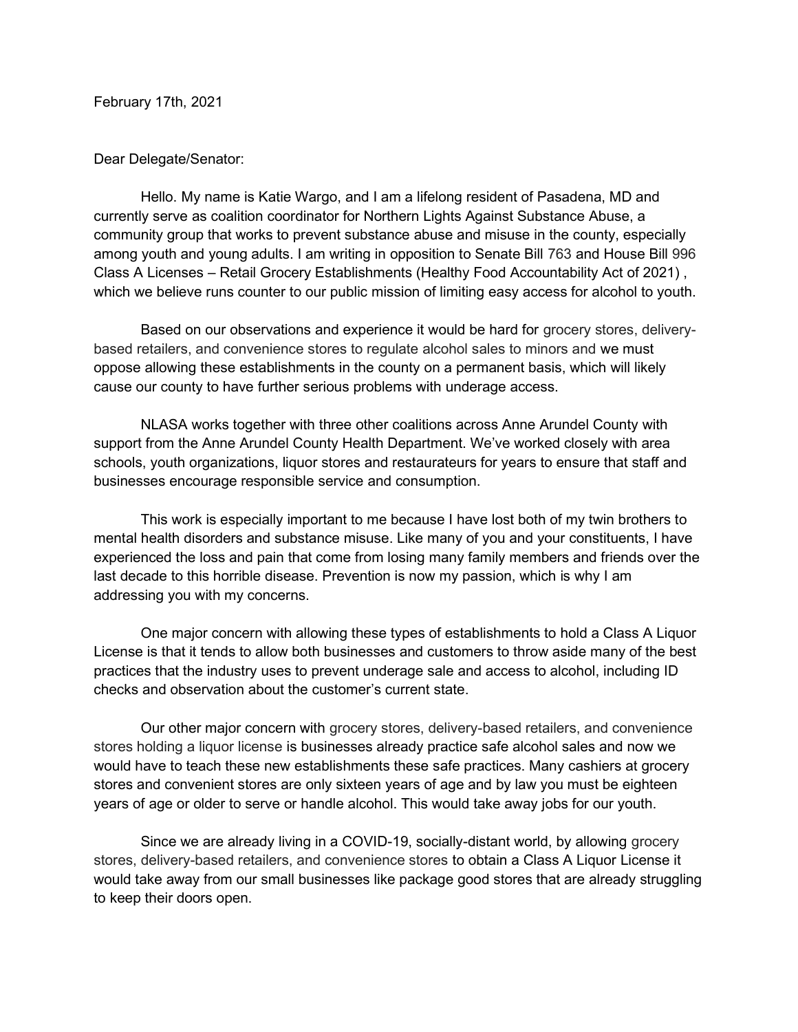February 17th, 2021

## Dear Delegate/Senator:

Hello. My name is Katie Wargo, and I am a lifelong resident of Pasadena, MD and currently serve as coalition coordinator for Northern Lights Against Substance Abuse, a community group that works to prevent substance abuse and misuse in the county, especially among youth and young adults. I am writing in opposition to Senate Bill 763 and House Bill 996 Class A Licenses – Retail Grocery Establishments (Healthy Food Accountability Act of 2021) , which we believe runs counter to our public mission of limiting easy access for alcohol to youth.

Based on our observations and experience it would be hard for grocery stores, deliverybased retailers, and convenience stores to regulate alcohol sales to minors and we must oppose allowing these establishments in the county on a permanent basis, which will likely cause our county to have further serious problems with underage access.

NLASA works together with three other coalitions across Anne Arundel County with support from the Anne Arundel County Health Department. We've worked closely with area schools, youth organizations, liquor stores and restaurateurs for years to ensure that staff and businesses encourage responsible service and consumption.

This work is especially important to me because I have lost both of my twin brothers to mental health disorders and substance misuse. Like many of you and your constituents, I have experienced the loss and pain that come from losing many family members and friends over the last decade to this horrible disease. Prevention is now my passion, which is why I am addressing you with my concerns.

One major concern with allowing these types of establishments to hold a Class A Liquor License is that it tends to allow both businesses and customers to throw aside many of the best practices that the industry uses to prevent underage sale and access to alcohol, including ID checks and observation about the customer's current state.

Our other major concern with grocery stores, delivery-based retailers, and convenience stores holding a liquor license is businesses already practice safe alcohol sales and now we would have to teach these new establishments these safe practices. Many cashiers at grocery stores and convenient stores are only sixteen years of age and by law you must be eighteen years of age or older to serve or handle alcohol. This would take away jobs for our youth.

Since we are already living in a COVID-19, socially-distant world, by allowing grocery stores, delivery-based retailers, and convenience stores to obtain a Class A Liquor License it would take away from our small businesses like package good stores that are already struggling to keep their doors open.